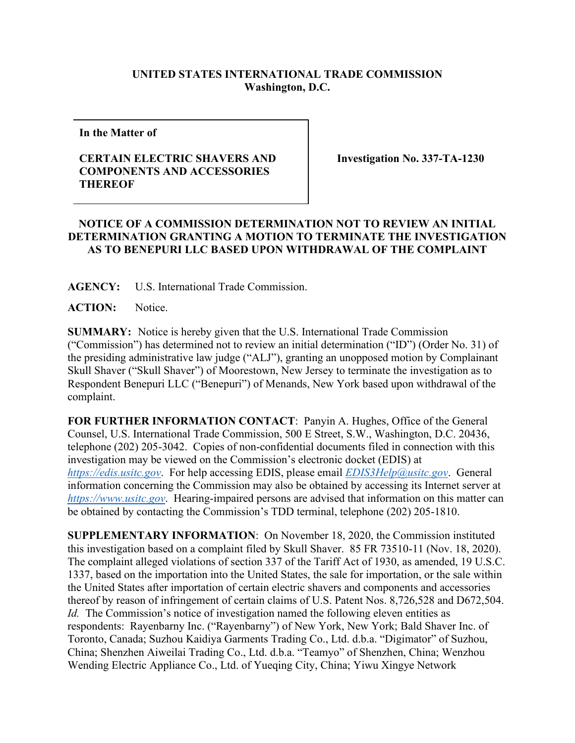## **UNITED STATES INTERNATIONAL TRADE COMMISSION Washington, D.C.**

**In the Matter of** 

## **CERTAIN ELECTRIC SHAVERS AND COMPONENTS AND ACCESSORIES THEREOF**

**Investigation No. 337-TA-1230**

## **NOTICE OF A COMMISSION DETERMINATION NOT TO REVIEW AN INITIAL DETERMINATION GRANTING A MOTION TO TERMINATE THE INVESTIGATION AS TO BENEPURI LLC BASED UPON WITHDRAWAL OF THE COMPLAINT**

**AGENCY:** U.S. International Trade Commission.

**ACTION:** Notice.

**SUMMARY:** Notice is hereby given that the U.S. International Trade Commission ("Commission") has determined not to review an initial determination ("ID") (Order No. 31) of the presiding administrative law judge ("ALJ"), granting an unopposed motion by Complainant Skull Shaver ("Skull Shaver") of Moorestown, New Jersey to terminate the investigation as to Respondent Benepuri LLC ("Benepuri") of Menands, New York based upon withdrawal of the complaint.

**FOR FURTHER INFORMATION CONTACT**: Panyin A. Hughes, Office of the General Counsel, U.S. International Trade Commission, 500 E Street, S.W., Washington, D.C. 20436, telephone (202) 205-3042. Copies of non-confidential documents filed in connection with this investigation may be viewed on the Commission's electronic docket (EDIS) at *[https://edis.usitc.gov](https://edis.usitc.gov/)*. For help accessing EDIS, please email *[EDIS3Help@usitc.gov](mailto:EDIS3Help@usitc.gov)*. General information concerning the Commission may also be obtained by accessing its Internet server at *[https://www.usitc.gov](https://www.usitc.gov/)*. Hearing-impaired persons are advised that information on this matter can be obtained by contacting the Commission's TDD terminal, telephone (202) 205-1810.

**SUPPLEMENTARY INFORMATION**: On November 18, 2020, the Commission instituted this investigation based on a complaint filed by Skull Shaver. 85 FR 73510-11 (Nov. 18, 2020). The complaint alleged violations of section 337 of the Tariff Act of 1930, as amended, 19 U.S.C. 1337, based on the importation into the United States, the sale for importation, or the sale within the United States after importation of certain electric shavers and components and accessories thereof by reason of infringement of certain claims of U.S. Patent Nos. 8,726,528 and D672,504. *Id.* The Commission's notice of investigation named the following eleven entities as respondents: Rayenbarny Inc. ("Rayenbarny") of New York, New York; Bald Shaver Inc. of Toronto, Canada; Suzhou Kaidiya Garments Trading Co., Ltd. d.b.a. "Digimator" of Suzhou, China; Shenzhen Aiweilai Trading Co., Ltd. d.b.a. "Teamyo" of Shenzhen, China; Wenzhou Wending Electric Appliance Co., Ltd. of Yueqing City, China; Yiwu Xingye Network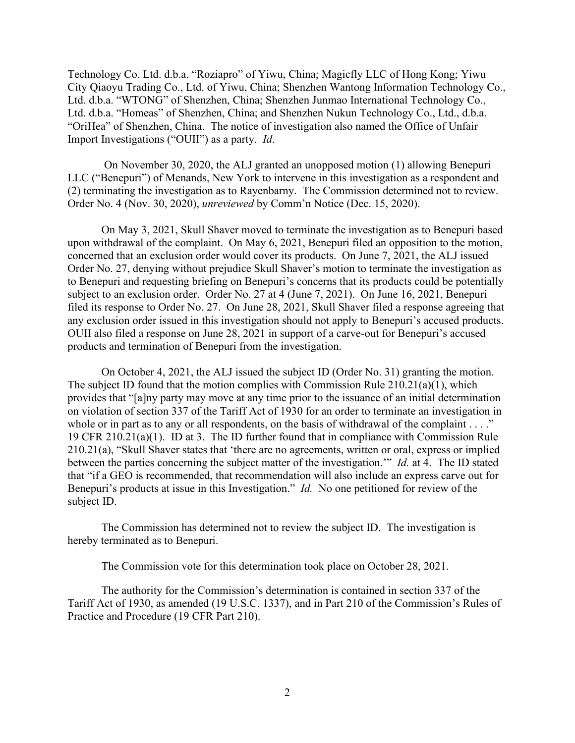Technology Co. Ltd. d.b.a. "Roziapro" of Yiwu, China; Magicfly LLC of Hong Kong; Yiwu City Qiaoyu Trading Co., Ltd. of Yiwu, China; Shenzhen Wantong Information Technology Co., Ltd. d.b.a. "WTONG" of Shenzhen, China; Shenzhen Junmao International Technology Co., Ltd. d.b.a. "Homeas" of Shenzhen, China; and Shenzhen Nukun Technology Co., Ltd., d.b.a. "OriHea" of Shenzhen, China. The notice of investigation also named the Office of Unfair Import Investigations ("OUII") as a party. *Id*.

On November 30, 2020, the ALJ granted an unopposed motion (1) allowing Benepuri LLC ("Benepuri") of Menands, New York to intervene in this investigation as a respondent and (2) terminating the investigation as to Rayenbarny. The Commission determined not to review. Order No. 4 (Nov. 30, 2020), *unreviewed* by Comm'n Notice (Dec. 15, 2020).

On May 3, 2021, Skull Shaver moved to terminate the investigation as to Benepuri based upon withdrawal of the complaint. On May 6, 2021, Benepuri filed an opposition to the motion, concerned that an exclusion order would cover its products. On June 7, 2021, the ALJ issued Order No. 27, denying without prejudice Skull Shaver's motion to terminate the investigation as to Benepuri and requesting briefing on Benepuri's concerns that its products could be potentially subject to an exclusion order. Order No. 27 at 4 (June 7, 2021). On June 16, 2021, Benepuri filed its response to Order No. 27. On June 28, 2021, Skull Shaver filed a response agreeing that any exclusion order issued in this investigation should not apply to Benepuri's accused products. OUII also filed a response on June 28, 2021 in support of a carve-out for Benepuri's accused products and termination of Benepuri from the investigation.

On October 4, 2021, the ALJ issued the subject ID (Order No. 31) granting the motion. The subject ID found that the motion complies with Commission Rule 210.21(a)(1), which provides that "[a]ny party may move at any time prior to the issuance of an initial determination on violation of section 337 of the Tariff Act of 1930 for an order to terminate an investigation in whole or in part as to any or all respondents, on the basis of withdrawal of the complaint . . . ." 19 CFR 210.21(a)(1). ID at 3. The ID further found that in compliance with Commission Rule 210.21(a), "Skull Shaver states that 'there are no agreements, written or oral, express or implied between the parties concerning the subject matter of the investigation.'" *Id.* at 4. The ID stated that "if a GEO is recommended, that recommendation will also include an express carve out for Benepuri's products at issue in this Investigation." *Id.* No one petitioned for review of the subject ID.

The Commission has determined not to review the subject ID. The investigation is hereby terminated as to Benepuri.

The Commission vote for this determination took place on October 28, 2021.

The authority for the Commission's determination is contained in section 337 of the Tariff Act of 1930, as amended (19 U.S.C. 1337), and in Part 210 of the Commission's Rules of Practice and Procedure (19 CFR Part 210).